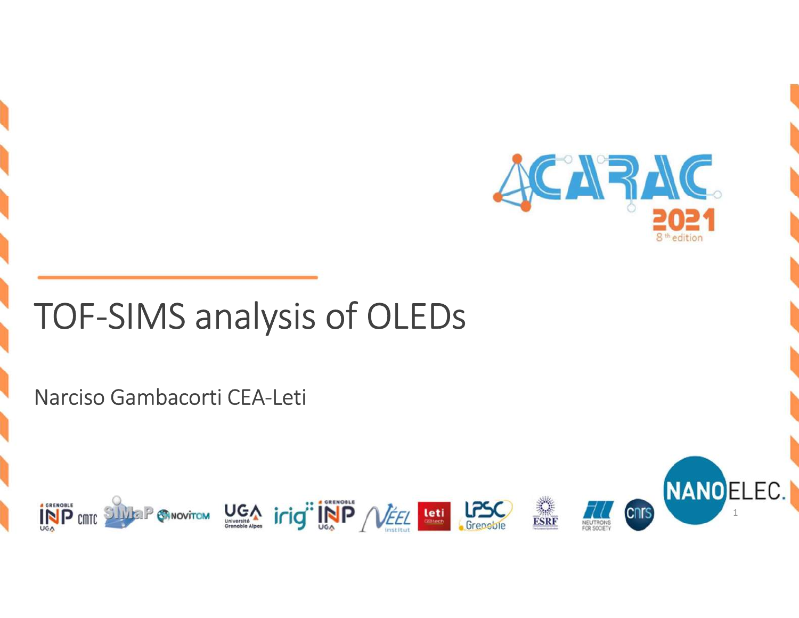

Narciso Gambacorti CEA-Leti





1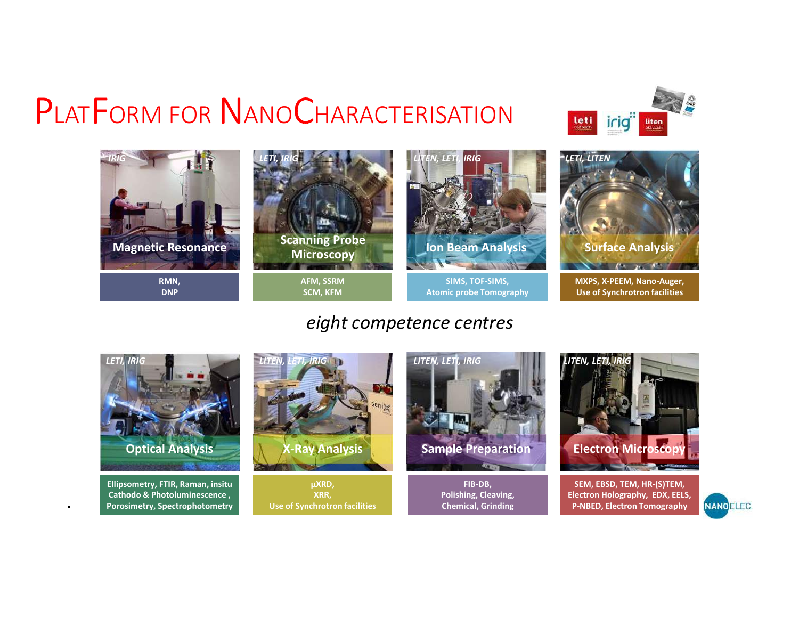



## eight competence centres



Ellipsometry, FTIR, Raman, insitu Porosimetry, Spectrophotometry



µXRD, XRR, Use of Synchrotron facilities **Exercía Exercía Chemical, Grinding** 



FIB-DB, Polishing, Cleaving,





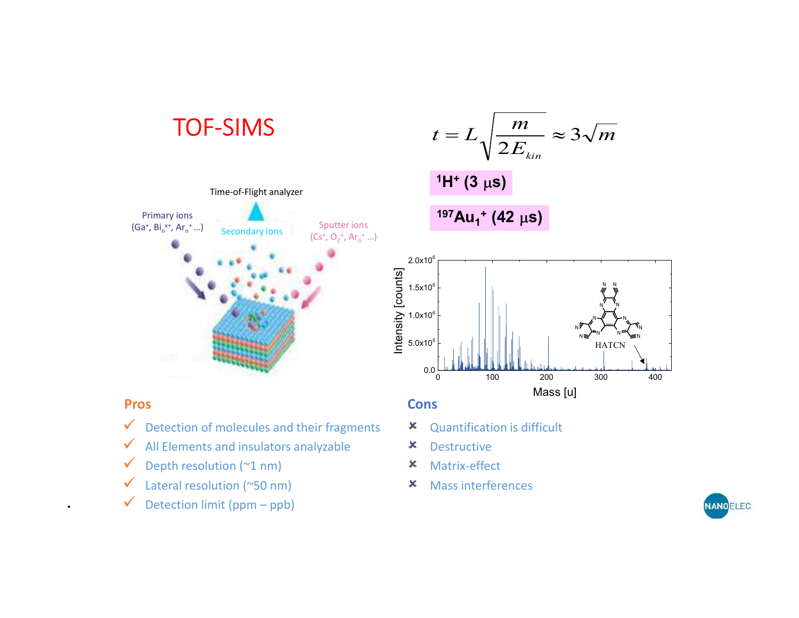## TOF-SIMS



## $1H^+$  (3  $\mu$ s)

 $\mathsf{Bi_n^{x+}}$ , Ar<sub>n</sub><sup>+</sup> …) Secondary ions Sputter ions Sputter ions Secondary ions Secondary ions Secondary ions Secondary ions Secondary ions Secondary ions Secondary ions Secondary ions Secondary ions Secondary ions Sec  $^{197}$ Au<sub>1</sub><sup>+</sup> (42 µs)



 $(Ga^+, Bi_n^{x+}, Ar_n^+...)$ 

 $\checkmark$  Detection of molecules and their fragments  $\checkmark$ 

Primary ions<br>  $\frac{1}{2}$  Bi<sup>x+</sup> Ar<sup>+</sup> 1

Time-of-Flight analyzer

- $\checkmark$  All Elements and insulators analyzable  $\checkmark$
- $\checkmark$  Depth resolution (~1 nm)
- $\checkmark$  Lateral resolution (~50 nm)
- 

## **Pros** Constanting the Constanting of Constanting Constanting Constanting Constanting Constanting Constanting Constanting Constanting Constanting Constanting Constanting Constanting Constanting Constanting Constanting Cons

 $(Cs^+, O_2^+, Ar_n^+...)$ 

<sup>+</sup> …)

- Quantification is difficult
- Destructive
- Matrix-effect
- Mass interferences

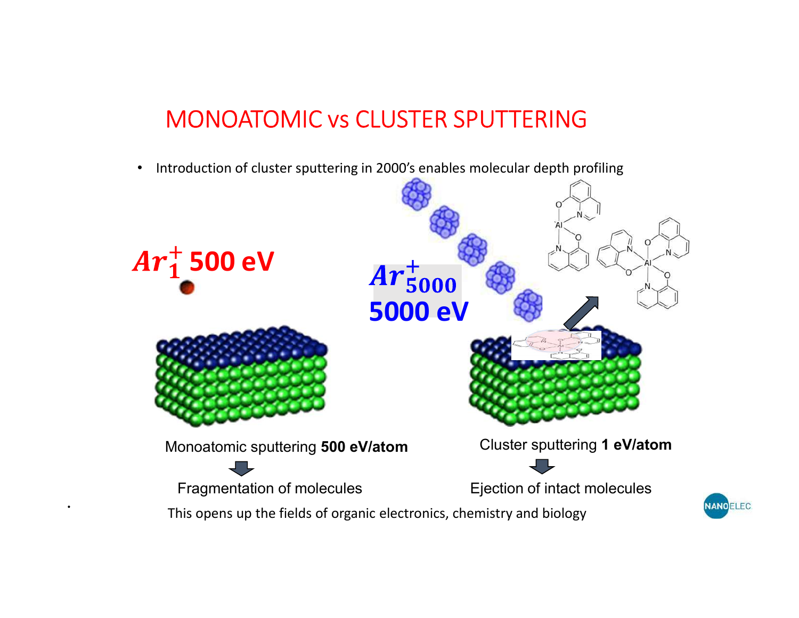# MONOATOMIC vs CLUSTER SPUTTERING

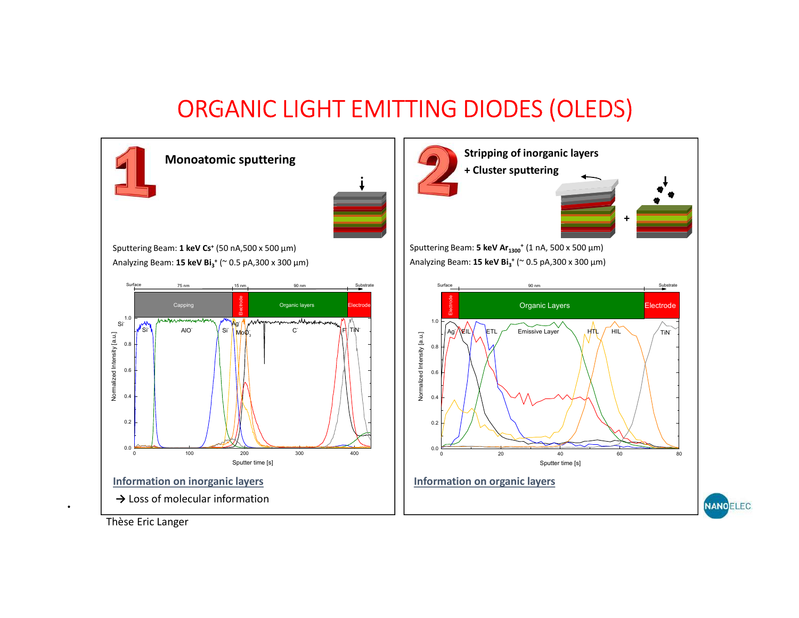

Thèse Eric Langer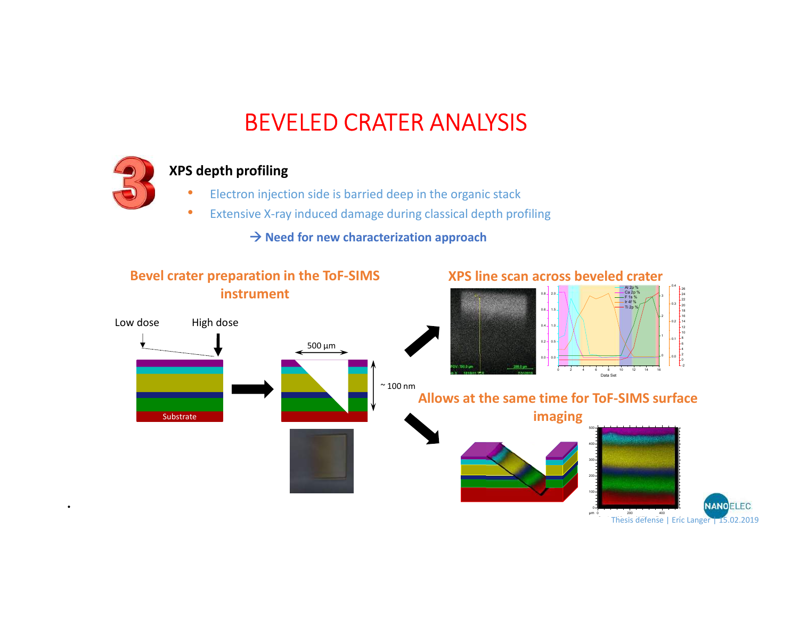# BEVELED CRATER ANALYSIS



## XPS depth profiling

- Electron injection side is barried deep in the organic stack
- Extensive X-ray induced damage during classical depth profiling

 $\rightarrow$  Need for new characterization approach